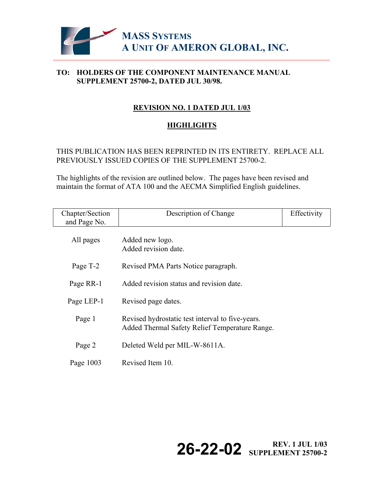

#### **TO: HOLDERS OF THE COMPONENT MAINTENANCE MANUAL SUPPLEMENT 25700-2, DATED JUL 30/98.**

#### **REVISION NO. 1 DATED JUL 1/03**

#### **HIGHLIGHTS**

#### THIS PUBLICATION HAS BEEN REPRINTED IN ITS ENTIRETY. REPLACE ALL PREVIOUSLY ISSUED COPIES OF THE SUPPLEMENT 25700-2.

The highlights of the revision are outlined below. The pages have been revised and maintain the format of ATA 100 and the AECMA Simplified English guidelines.

| Chapter/Section<br>and Page No. | Description of Change                                                                              | Effectivity |
|---------------------------------|----------------------------------------------------------------------------------------------------|-------------|
| All pages                       | Added new logo.<br>Added revision date.                                                            |             |
| Page T-2                        | Revised PMA Parts Notice paragraph.                                                                |             |
| Page RR-1                       | Added revision status and revision date.                                                           |             |
| Page LEP-1                      | Revised page dates.                                                                                |             |
| Page 1                          | Revised hydrostatic test interval to five-years.<br>Added Thermal Safety Relief Temperature Range. |             |
| Page 2                          | Deleted Weld per MIL-W-8611A.                                                                      |             |
| Page 1003                       | Revised Item 10.                                                                                   |             |

**26-22-02 REV. 1 JUL 1/03 SUPPLEMENT 25700-2**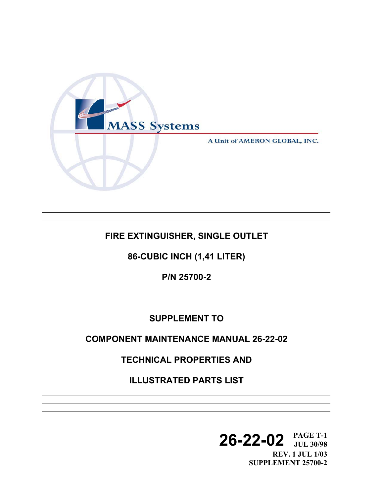

### **FIRE EXTINGUISHER, SINGLE OUTLET**

**86-CUBIC INCH (1,41 LITER)** 

**P/N 25700-2** 

**SUPPLEMENT TO** 

## **COMPONENT MAINTENANCE MANUAL 26-22-02**

**TECHNICAL PROPERTIES AND** 

**ILLUSTRATED PARTS LIST** 

**26-22-02 PAGE T-1 JUL 30/98 REV. 1 JUL 1/03 SUPPLEMENT 25700-2**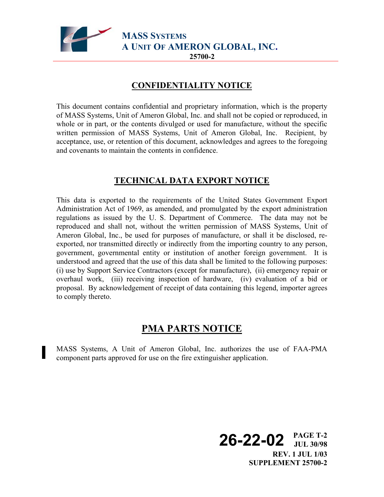

#### **CONFIDENTIALITY NOTICE**

This document contains confidential and proprietary information, which is the property of MASS Systems, Unit of Ameron Global, Inc. and shall not be copied or reproduced, in whole or in part, or the contents divulged or used for manufacture, without the specific written permission of MASS Systems, Unit of Ameron Global, Inc. Recipient, by acceptance, use, or retention of this document, acknowledges and agrees to the foregoing and covenants to maintain the contents in confidence.

#### **TECHNICAL DATA EXPORT NOTICE**

This data is exported to the requirements of the United States Government Export Administration Act of 1969, as amended, and promulgated by the export administration regulations as issued by the U. S. Department of Commerce. The data may not be reproduced and shall not, without the written permission of MASS Systems, Unit of Ameron Global, Inc., be used for purposes of manufacture, or shall it be disclosed, reexported, nor transmitted directly or indirectly from the importing country to any person, government, governmental entity or institution of another foreign government. It is understood and agreed that the use of this data shall be limited to the following purposes: (i) use by Support Service Contractors (except for manufacture), (ii) emergency repair or overhaul work, (iii) receiving inspection of hardware, (iv) evaluation of a bid or proposal. By acknowledgement of receipt of data containing this legend, importer agrees to comply thereto.

## **PMA PARTS NOTICE**

MASS Systems, A Unit of Ameron Global, Inc. authorizes the use of FAA-PMA component parts approved for use on the fire extinguisher application.

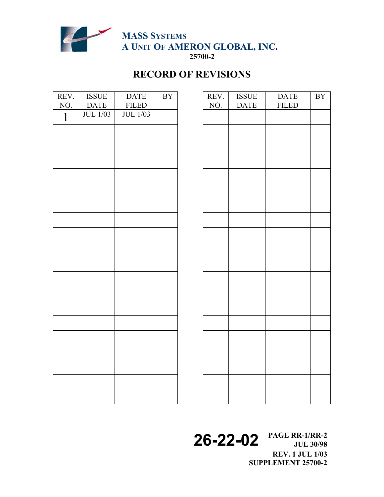

**RECORD OF REVISIONS** 

| REV.         | <b>ISSUE</b>     | <b>DATE</b>       | $\overline{BY}$ |
|--------------|------------------|-------------------|-----------------|
| NO.          | DATE<br>JUL 1/03 | FILED<br>JUL 1/03 |                 |
| $\mathbf{1}$ |                  |                   |                 |
|              |                  |                   |                 |
|              |                  |                   |                 |
|              |                  |                   |                 |
|              |                  |                   |                 |
|              |                  |                   |                 |
|              |                  |                   |                 |
|              |                  |                   |                 |
|              |                  |                   |                 |
|              |                  |                   |                 |
|              |                  |                   |                 |
|              |                  |                   |                 |
|              |                  |                   |                 |
|              |                  |                   |                 |
|              |                  |                   |                 |
|              |                  |                   |                 |
|              |                  |                   |                 |
|              |                  |                   |                 |
|              |                  |                   |                 |
|              |                  |                   |                 |
|              |                  |                   |                 |
|              |                  |                   |                 |
|              |                  |                   |                 |

| $\overline{BY}$ | REV.<br>NO. | <b>ISSUE</b> | <b>DATE</b>  | $\mathbf{B}\mathbf{Y}$ |
|-----------------|-------------|--------------|--------------|------------------------|
|                 |             | <b>DATE</b>  | <b>FILED</b> |                        |
|                 |             |              |              |                        |
|                 |             |              |              |                        |
|                 |             |              |              |                        |
|                 |             |              |              |                        |
|                 |             |              |              |                        |
|                 |             |              |              |                        |
|                 |             |              |              |                        |
|                 |             |              |              |                        |
|                 |             |              |              |                        |
|                 |             |              |              |                        |
|                 |             |              |              |                        |
|                 |             |              |              |                        |
|                 |             |              |              |                        |
|                 |             |              |              |                        |
|                 |             |              |              |                        |
|                 |             |              |              |                        |
|                 |             |              |              |                        |
|                 |             |              |              |                        |
|                 |             |              |              |                        |
|                 |             |              |              |                        |
|                 |             |              |              |                        |
|                 |             |              |              |                        |
|                 |             |              |              |                        |
|                 |             |              |              |                        |
|                 |             |              |              |                        |
|                 |             |              |              |                        |
|                 |             |              |              |                        |
|                 |             |              |              |                        |
|                 |             |              |              |                        |
|                 |             |              |              |                        |
|                 |             |              |              |                        |
|                 |             |              |              |                        |
|                 |             |              |              |                        |
|                 |             |              |              |                        |

**26-22-02 PAGE RR-1/RR-2 JUL 30/98 REV. 1 JUL 1/03 SUPPLEMENT 25700-2**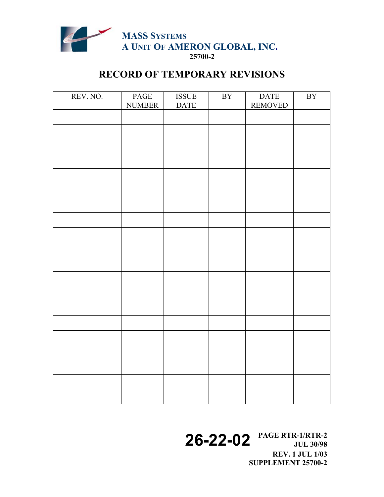

### **RECORD OF TEMPORARY REVISIONS**

| REV. NO. | $\overline{\mathsf{PAGE}}$<br><b>NUMBER</b> | <b>ISSUE</b><br><b>DATE</b> | $\rm BY$ | <b>DATE</b><br><b>REMOVED</b> | $\rm BY$ |
|----------|---------------------------------------------|-----------------------------|----------|-------------------------------|----------|
|          |                                             |                             |          |                               |          |
|          |                                             |                             |          |                               |          |
|          |                                             |                             |          |                               |          |
|          |                                             |                             |          |                               |          |
|          |                                             |                             |          |                               |          |
|          |                                             |                             |          |                               |          |
|          |                                             |                             |          |                               |          |
|          |                                             |                             |          |                               |          |
|          |                                             |                             |          |                               |          |
|          |                                             |                             |          |                               |          |
|          |                                             |                             |          |                               |          |
|          |                                             |                             |          |                               |          |
|          |                                             |                             |          |                               |          |
|          |                                             |                             |          |                               |          |
|          |                                             |                             |          |                               |          |
|          |                                             |                             |          |                               |          |
|          |                                             |                             |          |                               |          |
|          |                                             |                             |          |                               |          |
|          |                                             |                             |          |                               |          |
|          |                                             |                             |          |                               |          |

**26-22-02 PAGE RTR-1/RTR-2 JUL 30/98 REV. 1 JUL 1/03 SUPPLEMENT 25700-2**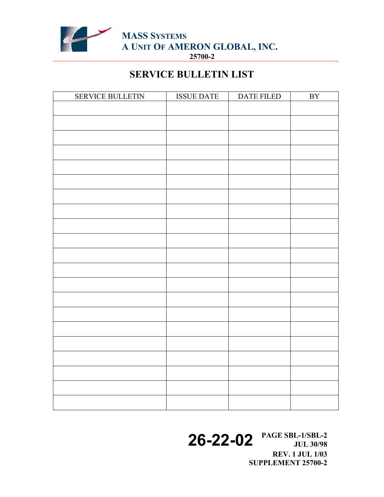

**25700-2**

# **SERVICE BULLETIN LIST**

| SERVICE BULLETIN | <b>ISSUE DATE</b> | <b>DATE FILED</b> | BY |
|------------------|-------------------|-------------------|----|
|                  |                   |                   |    |
|                  |                   |                   |    |
|                  |                   |                   |    |
|                  |                   |                   |    |
|                  |                   |                   |    |
|                  |                   |                   |    |
|                  |                   |                   |    |
|                  |                   |                   |    |
|                  |                   |                   |    |
|                  |                   |                   |    |
|                  |                   |                   |    |
|                  |                   |                   |    |
|                  |                   |                   |    |
|                  |                   |                   |    |
|                  |                   |                   |    |
|                  |                   |                   |    |
|                  |                   |                   |    |
|                  |                   |                   |    |
|                  |                   |                   |    |
|                  |                   |                   |    |
|                  |                   |                   |    |
|                  |                   |                   |    |
|                  |                   |                   |    |

**26-22-02 PAGE SBL-1/SBL-2 JUL 30/98 REV. 1 JUL 1/03 SUPPLEMENT 25700-2**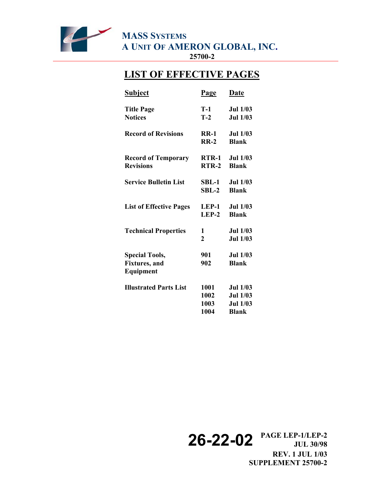

**MASS SYSTEMS A UNIT OF AMERON GLOBAL, INC.**

**25700-2**

# **LIST OF EFFECTIVE PAGES**

| <u>Subject</u>                                              | Page                         | <u>Date</u>                                                           |
|-------------------------------------------------------------|------------------------------|-----------------------------------------------------------------------|
| <b>Title Page</b><br><b>Notices</b>                         | $T-1$<br>$T-2$               | <b>Jul 1/03</b><br><b>Jul 1/03</b>                                    |
| <b>Record of Revisions</b>                                  | $RR-1$<br>$RR-2$             | <b>Jul 1/03</b><br><b>Blank</b>                                       |
| <b>Record of Temporary</b><br><b>Revisions</b>              | RTR-1<br>$RTR-2$             | <b>Jul 1/03</b><br><b>Blank</b>                                       |
| <b>Service Bulletin List</b>                                | SBL-1<br>$SBL-2$             | <b>Jul 1/03</b><br><b>Blank</b>                                       |
| <b>List of Effective Pages</b>                              | LEP-1<br>$LEP-2$             | <b>Jul 1/03</b><br><b>Blank</b>                                       |
| <b>Technical Properties</b>                                 | 1<br>$\overline{2}$          | <b>Jul 1/03</b><br><b>Jul 1/03</b>                                    |
| <b>Special Tools,</b><br><b>Fixtures</b> , and<br>Equipment | 901<br>902                   | <b>Jul 1/03</b><br><b>Blank</b>                                       |
| <b>Illustrated Parts List</b>                               | 1001<br>1002<br>1003<br>1004 | <b>Jul 1/03</b><br><b>Jul 1/03</b><br><b>Jul 1/03</b><br><b>Blank</b> |

**26-22-02 PAGE LEP-1/LEP-2 JUL 30/98 REV. 1 JUL 1/03 SUPPLEMENT 25700-2**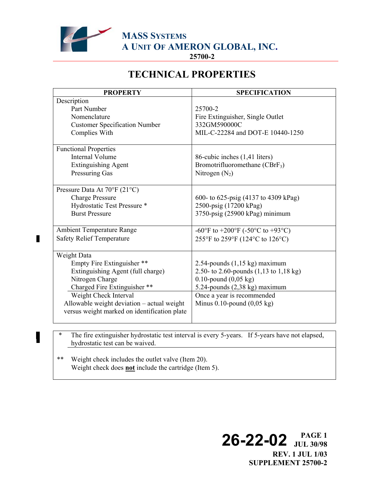

**25700-2**

# **TECHNICAL PROPERTIES**

| <b>PROPERTY</b>                                                                                                                                                                                                                                          | <b>SPECIFICATION</b>                                                                                                                                                                                                                                |
|----------------------------------------------------------------------------------------------------------------------------------------------------------------------------------------------------------------------------------------------------------|-----------------------------------------------------------------------------------------------------------------------------------------------------------------------------------------------------------------------------------------------------|
| Description<br>Part Number<br>Nomenclature<br><b>Customer Specification Number</b><br>Complies With                                                                                                                                                      | 25700-2<br>Fire Extinguisher, Single Outlet<br>332GM590000C<br>MIL-C-22284 and DOT-E 10440-1250                                                                                                                                                     |
| <b>Functional Properties</b><br><b>Internal Volume</b><br><b>Extinguishing Agent</b><br>Pressuring Gas                                                                                                                                                   | 86-cubic inches (1,41 liters)<br>Bromotrifluoromethane (CBrF <sub>3</sub> )<br>Nitrogen $(N_2)$                                                                                                                                                     |
| Pressure Data At 70°F (21°C)<br><b>Charge Pressure</b><br>Hydrostatic Test Pressure *<br><b>Burst Pressure</b>                                                                                                                                           | 600- to 625-psig (4137 to 4309 kPag)<br>2500-psig (17200 kPag)<br>3750-psig (25900 kPag) minimum                                                                                                                                                    |
| <b>Ambient Temperature Range</b><br><b>Safety Relief Temperature</b>                                                                                                                                                                                     | -60°F to +200°F (-50°C to +93°C)<br>255°F to 259°F (124°C to 126°C)                                                                                                                                                                                 |
| Weight Data<br>Empty Fire Extinguisher **<br>Extinguishing Agent (full charge)<br>Nitrogen Charge<br>Charged Fire Extinguisher **<br>Weight Check Interval<br>Allowable weight deviation - actual weight<br>versus weight marked on identification plate | 2.54-pounds $(1,15 \text{ kg})$ maximum<br>2.50- to 2.60-pounds $(1,13 \text{ to } 1,18 \text{ kg})$<br>$0.10$ -pound $(0.05 \text{ kg})$<br>5.24-pounds (2,38 kg) maximum<br>Once a year is recommended<br>Minus $0.10$ -pound $(0.05 \text{ kg})$ |

The fire extinguisher hydrostatic test interval is every 5-years. If 5-years have not elapsed, hydrostatic test can be waived.

\*\* Weight check includes the outlet valve (Item 20). Weight check does **not** include the cartridge (Item 5).

 $\blacksquare$ 

**26-22-02** JUL 30/98 **JUL 30/98 REV. 1 JUL 1/03 SUPPLEMENT 25700-2**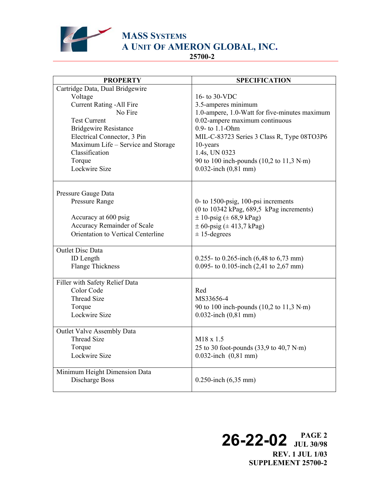

## **MASS SYSTEMS A UNIT OF AMERON GLOBAL, INC.**

**25700-2**

| <b>PROPERTY</b>                           | <b>SPECIFICATION</b>                                      |
|-------------------------------------------|-----------------------------------------------------------|
| Cartridge Data, Dual Bridgewire           |                                                           |
| Voltage                                   | 16- to 30-VDC                                             |
| <b>Current Rating - All Fire</b>          | 3.5-amperes minimum                                       |
| No Fire                                   | 1.0-ampere, 1.0-Watt for five-minutes maximum             |
| <b>Test Current</b>                       | 0.02-ampere maximum continuous                            |
| <b>Bridgewire Resistance</b>              | 0.9- to 1.1-Ohm                                           |
| Electrical Connector, 3 Pin               | MIL-C-83723 Series 3 Class R, Type 08TO3P6                |
| Maximum Life - Service and Storage        | 10-years                                                  |
| Classification                            | 1.4s, UN 0323                                             |
| Torque                                    | 90 to 100 inch-pounds (10,2 to 11,3 N·m)                  |
| Lockwire Size                             | $0.032$ -inch $(0, 81$ mm)                                |
|                                           |                                                           |
| Pressure Gauge Data                       |                                                           |
| Pressure Range                            | 0- to 1500-psig, 100-psi increments                       |
|                                           | $(0 to 10342 kPag, 689, 5 kPag increments)$               |
| Accuracy at 600 psig                      | $\pm$ 10-psig ( $\pm$ 68,9 kPag)                          |
| Accuracy Remainder of Scale               | $\pm 60$ -psig ( $\pm 413,7$ kPag)                        |
| <b>Orientation to Vertical Centerline</b> | $± 15-degrees$                                            |
|                                           |                                                           |
| <b>Outlet Disc Data</b>                   |                                                           |
| ID Length                                 | 0.255- to 0.265-inch $(6,48 \text{ to } 6,73 \text{ mm})$ |
| <b>Flange Thickness</b>                   | 0.095- to 0.105-inch $(2,41$ to 2,67 mm)                  |
|                                           |                                                           |
| Filler with Safety Relief Data            |                                                           |
| Color Code                                | Red                                                       |
| <b>Thread Size</b>                        | MS33656-4                                                 |
| Torque                                    | 90 to 100 inch-pounds (10,2 to 11,3 N·m)                  |
| Lockwire Size                             | $0.032$ -inch $(0.81$ mm)                                 |
| <b>Outlet Valve Assembly Data</b>         |                                                           |
| <b>Thread Size</b>                        | M18 x 1.5                                                 |
| Torque                                    | 25 to 30 foot-pounds (33,9 to 40,7 N·m)                   |
| Lockwire Size                             | $0.032$ -inch $(0, 81$ mm)                                |
|                                           |                                                           |
| Minimum Height Dimension Data             |                                                           |
| Discharge Boss                            | $0.250$ -inch $(6.35$ mm)                                 |

**26-22-02** JUL 30/98 **JUL 30/98 REV. 1 JUL 1/03 SUPPLEMENT 25700-2**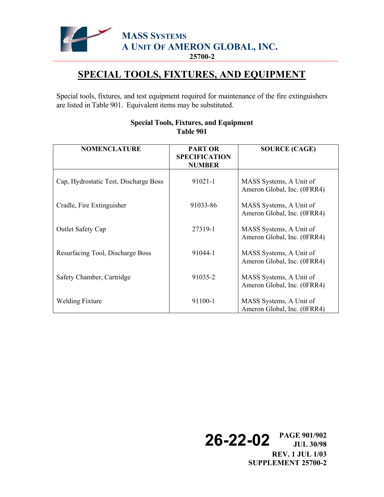

**25700-2**

# **SPECIAL TOOLS, FIXTURES, AND EQUIPMENT**

Special tools, fixtures, and test equipment required for maintenance of the fire extinguishers are listed in Table 901. Equivalent items may be substituted.

| <b>NOMENCLATURE</b>                   | <b>PART OR</b><br><b>SPECIFICATION</b><br><b>NUMBER</b> | <b>SOURCE (CAGE)</b>                                   |
|---------------------------------------|---------------------------------------------------------|--------------------------------------------------------|
| Cap, Hydrostatic Test, Discharge Boss | 91021-1                                                 | MASS Systems, A Unit of<br>Ameron Global, Inc. (0FRR4) |
| Cradle, Fire Extinguisher             | 91033-86                                                | MASS Systems, A Unit of<br>Ameron Global, Inc. (0FRR4) |
| <b>Outlet Safety Cap</b>              | 27319-1                                                 | MASS Systems, A Unit of<br>Ameron Global, Inc. (0FRR4) |
| Resurfacing Tool, Discharge Boss      | 91044-1                                                 | MASS Systems, A Unit of<br>Ameron Global, Inc. (0FRR4) |
| Safety Chamber, Cartridge             | 91035-2                                                 | MASS Systems, A Unit of<br>Ameron Global, Inc. (0FRR4) |
| <b>Welding Fixture</b>                | 91100-1                                                 | MASS Systems, A Unit of<br>Ameron Global, Inc. (0FRR4) |

#### **Special Tools, Fixtures, and Equipment Table 901**

**26-22-02** PAGE 901/902 **JUL 30/98 REV. 1 JUL 1/03 SUPPLEMENT 25700-2**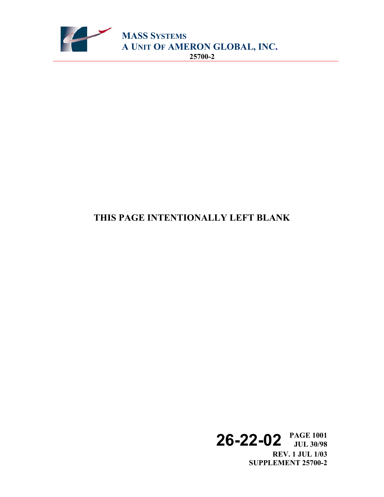

# **THIS PAGE INTENTIONALLY LEFT BLANK**

**26-22-02 PAGE 1001 JUL 30/98 REV. 1 JUL 1/03 SUPPLEMENT 25700-2**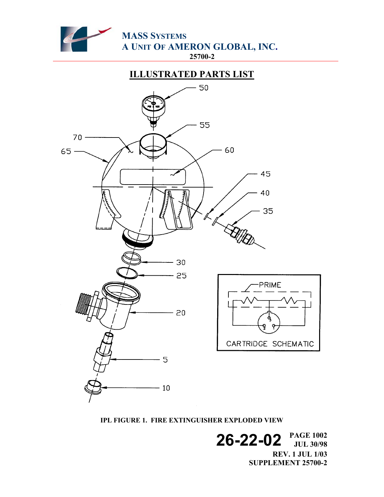

**ILLUSTRATED PARTS LIST**



**IPL FIGURE 1. FIRE EXTINGUISHER EXPLODED VIEW**

**26-22-02 PAGE 1002 JUL 30/98 REV. 1 JUL 1/03 SUPPLEMENT 25700-2**